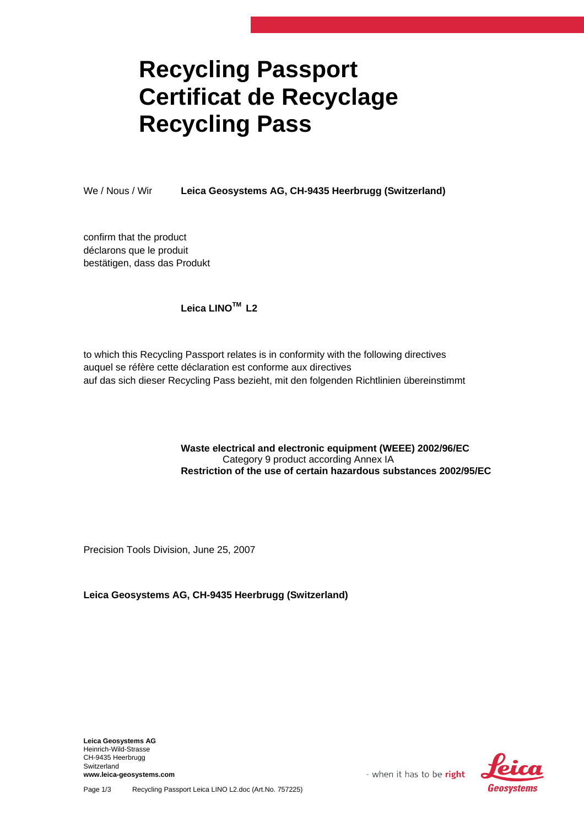# **Recycling Passport Certificat de Recyclage Recycling Pass**

We / Nous / Wir **Leica Geosystems AG, CH-9435 Heerbrugg (Switzerland)**

confirm that the product déclarons que le produit bestätigen, dass das Produkt

### **Leica LINOTM L2**

to which this Recycling Passport relates is in conformity with the following directives auquel se réfère cette déclaration est conforme aux directives auf das sich dieser Recycling Pass bezieht, mit den folgenden Richtlinien übereinstimmt

#### **Waste electrical and electronic equipment (WEEE) 2002/96/EC**  Category 9 product according Annex IA **Restriction of the use of certain hazardous substances 2002/95/EC**

Precision Tools Division, June 25, 2007

#### **Leica Geosystems AG, CH-9435 Heerbrugg (Switzerland)**

**Leica Geosystems AG**  Heinrich-Wild-Strasse CH-9435 Heerbrugg Switzerland **www.leica-geosystems.com** 



- when it has to be right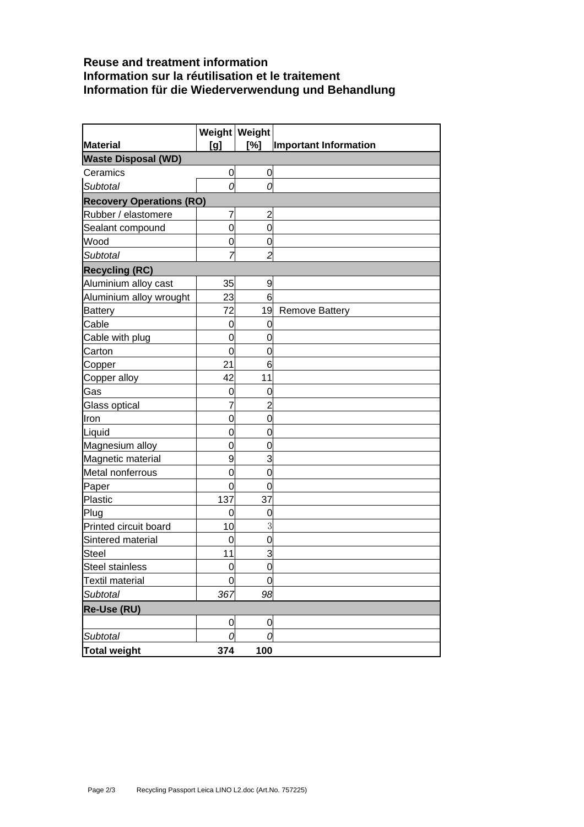## **Reuse and treatment information Information sur la réutilisation et le traitement Information für die Wiederverwendung und Behandlung**

| <b>Material</b>                        |                  | Weight Weight<br>[%] | Important Information |
|----------------------------------------|------------------|----------------------|-----------------------|
| [g]                                    |                  |                      |                       |
| <b>Waste Disposal (WD)</b><br>Ceramics | $\overline{0}$   | 0                    |                       |
| <b>Subtotal</b>                        | 0                | 0                    |                       |
|                                        |                  |                      |                       |
| <b>Recovery Operations (RO)</b>        |                  |                      |                       |
| Rubber / elastomere                    | 7<br>$\mathbf 0$ | 2<br>$\overline{0}$  |                       |
| Sealant compound<br>Wood               |                  |                      |                       |
|                                        | 0<br>7           | 0<br>$\overline{c}$  |                       |
| Subtotal                               |                  |                      |                       |
| <b>Recycling (RC)</b>                  |                  |                      |                       |
| Aluminium alloy cast                   | 35               | 9<br>6               |                       |
| Aluminium alloy wrought                | 23<br>72         |                      |                       |
| <b>Battery</b><br>Cable                |                  | 19<br>0              | <b>Remove Battery</b> |
| Cable with plug                        | 0<br>0           | 0                    |                       |
| Carton                                 | $\overline{0}$   | 0                    |                       |
| Copper                                 | 21               | 6                    |                       |
| Copper alloy                           | 42               | 11                   |                       |
| Gas                                    | 0                | 0                    |                       |
| Glass optical                          | 7                | $\overline{2}$       |                       |
| llron                                  | 0                | 0                    |                       |
| Liquid                                 | 0                | 0                    |                       |
| Magnesium alloy                        | $\mathbf 0$      | $\mathbf 0$          |                       |
| Magnetic material                      | 9                | 3                    |                       |
| Metal nonferrous                       | $\mathbf 0$      | $\mathbf 0$          |                       |
| Paper                                  | 0                | $\Omega$             |                       |
| Plastic                                | 137              | 37                   |                       |
| Plug                                   | 0                | 0                    |                       |
| Printed circuit board                  | 10               | 3                    |                       |
| Sintered material                      | 0                | 0                    |                       |
| <b>Steel</b>                           | 11               | 3                    |                       |
| <b>Steel stainless</b>                 | $\overline{0}$   | $\mathbf 0$          |                       |
| Textil material                        | 0                | 0                    |                       |
| Subtotal                               | 367              | 98                   |                       |
| Re-Use (RU)                            |                  |                      |                       |
|                                        | $\mathbf 0$      | 0                    |                       |
| <b>Subtotal</b>                        | 0                | C                    |                       |
| <b>Total weight</b>                    | 374              | 100                  |                       |